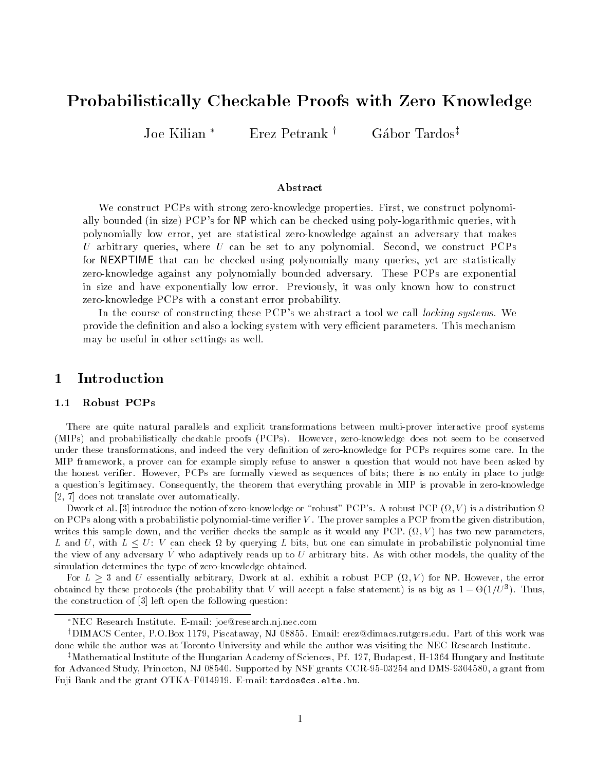# Probabilistically Checkable Proofs with Zero Knowledge

Joe Kilian \* Erez Petrank † Gábor Tardos<sup>‡</sup>

# Abstract

We construct PCPs with strong zeroknowledge properties First- we construct polynomially bounded the size PCPs for NP which can be checked using poly-idgarithmic queries. With polynomially low error- yet are statistical zeroknowledge against an adversary that makesU arbitrary queries. Where U can be set to any polynomial Second-We construct I Clis for NEXPTIME that can be checked using polynomially many queries- yet are statisticallyzeroknowledge against any polynomially bounded adversary These PCPs are exponential in size and have exponentially low error Previously- it was only known how to constructzero-knowledge PCPs with a constant error probability.

In the course of constructing these PCP-s we abstract a tool we can *tocking systems.* We  $\sim$ provide the definition and also a locking system with very efficient parameters. This mechanism may be useful in other settings as well

# Introduction

# 1.1 Robust PCPs

There are quite natural parallels and explicit transformations between multi-prover interactive proof systems MIPs- and probabilistically checkable proofs PCPs- However zeroknowledge does not seem to be conserved under these transformations, and indeed the very definition of zero-knowledge for PCPs requires some care. In the MIP framework a prover can for example simply refuse to answer a question that would not have been asked by the honest verifier. However, PCPs are formally viewed as sequences of bits; there is no entity in place to judge a question's legitimacy. Consequently, the theorem that everything provable in MIP is provable in zero-knowledge does not translate over automatically

 $\mathbf P$  is a distribution of  $\mathbf P$  robust  $\mathbf P$  robust  $\mathbf P$  robust  $\mathbf P$  robust  $\mathbf P$  -  $\mathbf P$  is a distribution of  $\mathbf P$ on PCPs along with a probabilistic polynomial-time verifier  $V$ . The prover samples a PCP from the given distribution writes this sample down and the verified checks the sample as it would any PCP ( ) may fire move parameters, L and U, with  $L \leq U$ : V can check  $\Omega$  by querying L bits, but one can simulate in probabilistic polynomial time the view of any adversary  $V$  who adaptively reads up to  $U$  arbitrary bits. As with other models, the quality of the simulation determines the type of zero-knowledge obtained.

For  $L \geq 3$  and U essentially arbitrary, Dwork at al. exhibit a robust PCP ( $\Omega, V$ ) for NP. However, the error obtained by these protocols (the probability that  $V$  will accept a false statement) is as big as  $1-\Theta(1/U^*)$ . Thus, the construction of  $[3]$  left open the following question:

<sup>\*</sup>NEC Research Institute. E-mail: joe@research.nj.nec.com

<sup>&#</sup>x27;DIMACS Center, P.O.BOX 1119, Piscataway, NJ 08899. Email: erezwulmacs rutgers.edu. Part of this work was done while the author was at Toronto University and while the author was visiting the NEC Research Institute

<sup>+</sup> Mathematical Institute of the Hungarian Academy of Sciences, P1. 127, Budapest, H-1504 Hungary and Institute for Advanced Study, Princeton, NJ 08540. Supported by NSF grants CCR-95-03254 and DMS-9304580, a grant from Fuji Bank and the grant OTKA-F014919. E-mail: tardos@cs.elte.hu.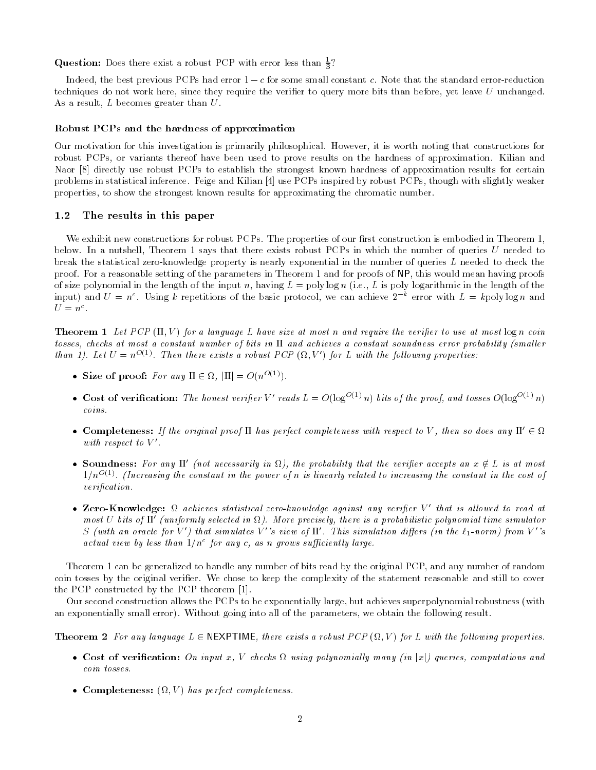**Question:** Does there exist a robust PCP with error less than  $\frac{1}{3}$ .

Indeed, the best previous PCPs had error  $1 - c$  for some small constant c. Note that the standard error-reduction techniques do not work here, since they require the verifier to query more bits than before, yet leave  $U$  unchanged. As a result,  $L$  becomes greater than  $U$ .

-

## Robust PCPs and the hardness of approximation

Our motivation for this investigation is primarily philosophical However it is worth noting that constructions for robust PCPs, or variants thereof have been used to prove results on the hardness of approximation. Kilian and Naor [8] directly use robust PCPs to establish the strongest known hardness of approximation results for certain problems in statistical inference. Feige and Kilian [4] use PCPs inspired by robust PCPs, though with slightly weaker properties to show the strongest known results for approximating the chromatic number

# The results in this paper

We exhibit new constructions for robust PCPs. The properties of our first construction is embodied in Theorem 1, below. In a nutshell, Theorem 1 says that there exists robust PCPs in which the number of queries  $U$  needed to break the statistical zeroknowledge property is nearly exponential in the number of queries L needed to check the proof. For a reasonable setting of the parameters in Theorem 1 and for proofs of NP, this would mean having proofs of size polynomial in the length of the input n, having  $L = \text{poly}\log n$  (i.e., L is poly logarithmic in the length of the input) and  $U = n^+$  using  $k$  repetitions of the basic protocol, we can achieve  $\lambda$  - error with  $L = k$ polylog n and  $U = n$ .

 $\mathcal{L}$  is a language L have size at most n and require to use at most log n and require to use at most log n coin tosses checks at most a constant number of bits in and achieves a constant soundness error probability -smal ler than 1). Let  $U = n^{-\gamma + \gamma}$ . Then there exists a robust PCP (M,V) for L with the following properties:

- Size of proof: For any  $\mathbb{I} \in \Omega$ ,  $|\mathbb{I}| = O(n^{O(1)})$ .
- Cost of verification: The honest verifier V' reads  $L = O(\log^{-(\gamma)} n)$  bits of the proof, and tosses  $O(\log^{-(\gamma)} n)$ coins
- $\bullet$  Completeness: If the original proof II has perfect completeness with respect to V, then so does any II'  $\in \Omega$ with respect to  $V$ .
- Soundness: For any  $\Pi'$  (not necessarily in  $\Omega$ ), the probability that the verifier accepts an  $x \notin L$  is at most  $1/n^{\infty(\pm)}$ , (Increasing the constant in the power of n is linearly related to increasing the constant in the cost of  $verification.$
- $\bullet$  Lero-Knowledge: Machieves statistical zero-knowledge against any verifier V -that is allowed to read at most  $\cup$  ous of  $\Pi$  -funiformly selected in  $\Omega$  ). More precisely, there is a probabilistic polynomial time simulator  $S$  (with an oracle for  $V$  ) that simulates  $V$  -s view of  $\Pi$  . Inis simulation aiffers (in the  $\ell_1$ -norm) from  $V$  -s  $\Box$ actuat view by tess than 1/n=10r any c, as n grows sufficiently targe.

Theorem 1 can be generalized to handle any number of bits read by the original PCP, and any number of random coin tosses by the original verifier. We chose to keep the complexity of the statement reasonable and still to cover the PCP constructed by the PCP theorem [1].

Our second construction allows the PCPs to be exponentially large, but achieves superpolynomial robustness (with and exponentially smaller error, whitehear group into all of the parameters we obtain the following results.

**Theorem 2** For any language  $L \in \mathbb{N}$ EXPTIME, there exists a robust PCP  $(\Omega, V)$  for L with the following properties.

- Cost of verification: On input x, V checks  $\Omega$  using polynomially many (in |x|) queries, computations and coin tosses
- Completeness:  $(Y, V)$  has perfect completeness.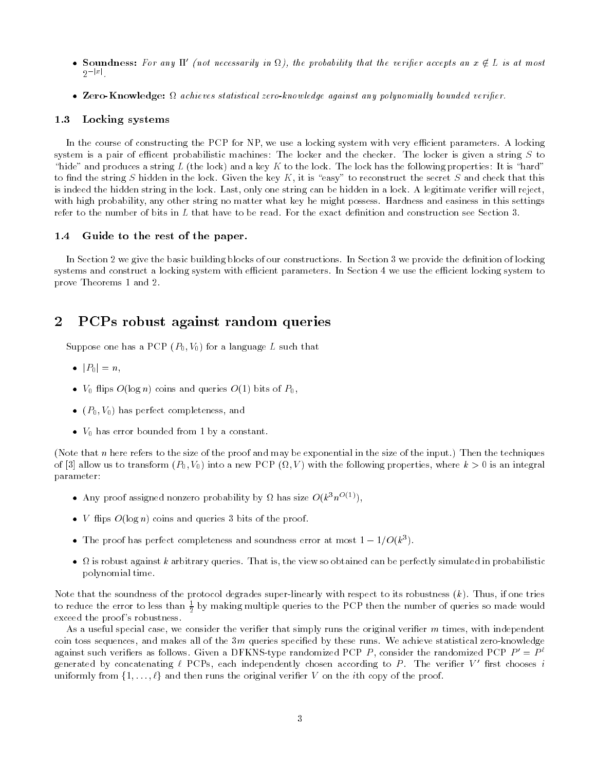- Soundness: For any  $\Pi'$  (not necessarily in  $\Omega$ ), the probability that the verifier accepts an  $x \notin L$  is at most  $2^{-|x|}$ .
- $\bullet$  Lero-Knowledge: Machieves statistical zero-knowledge against any polynomially bounded veriner.

#### Locking systems  $1.3$

In the course of constructing the PCP for NP, we use a locking system with very efficient parameters. A locking system is a pair of efficent probabilistic machines: The locker and the checker. The locker is given a string  $S$  to hide and a key to the locking the lock-the lock-the lock-the lock the following properties It is the following the following the following the following the following the following the following the following the following to find the string S hidden in the lock. Given the key K, it is "easy" to reconstruct the secret S and check that this is indeed the hidden string in the lock. Last, only one string can be hidden in a lock. A legitimate verifier will reject, with high probability, any other string no matter what key he might possess. Hardness and easiness in this settings refer to the number of bits in  $L$  that have to be read. For the exact definition and construction see Section 3.

# 1.4 Guide to the rest of the paper.

In Section 2 we give the basic building blocks of our constructions. In Section 3 we provide the definition of locking systems and construct a locking system with efficient parameters. In Section 4 we use the efficient locking system to prove Theorems 1 and 2.

### $\overline{2}$ PCPs robust against random queries

suppose that has a PCP you will be a language L such that the such that  $\mathcal{L}$ 

- $\bullet$   $|P_0| = n$ ,
- $\bullet$   $\rightarrow$   $V_0$  nips  $O(\log n)$  coins and queries  $O(1)$  bits of  $P_0$ ,
- $\bullet$  ( $P_0, V_0$ ) has perfect completeness, and
- $\bullet\;$   $\;$   $\!_0$  nas error bounded from 1 by a constant.

Note that n here refers to the size of the proof and may be exponential in the size of the input- Then the techniques of into a new PCP into a new PCP V-10 into a new PCP into a new properties where  $\alpha$  is an integral. parameter

- Any proof assigned nonzero probability by  $\Omega$  has size  $O(\kappa^{\circ}n^{\circ\vee\circ})$ ,
- $\bullet$  v-nips  $O(\log n)$  coins and queries 3 bits of the proof.
- $\bullet$  -the proof has perfect completeness and soundness error at most  $1 1/O(k^{\circ}).$
- is robust against k arbitrary queries That is the view so obtained can be perfectly simulated in probabilistic polynomial time

Note that the soundness of the protocol degrades superlinearly with respect to its robustness k- Thus if one tries to reduce the error to less than  $\frac{1}{2}$  by making multiple queries to the PCP then the number of queries so made would exceed the proof's robustness.

As a useful special case, we consider the verifier that simply runs the original verifier  $m$  times, with independent coin toss sequences, and makes all of the  $3m$  queries specified by these runs. We achieve statistical zero-knowledge against such verifiers as follows. Given a DFKNS-type randomized PCP P , consider the randomized PCP  $P = P^+$ generated by concatenating  $\ell$  PCPs, each independently chosen according to P  $\pm$  The verifier  $\ell$  -Hrst chooses  $\ell$ uniformly from  $\{1,\ldots,\ell\}$  and then runs the original verifier V on the *i*th copy of the proof.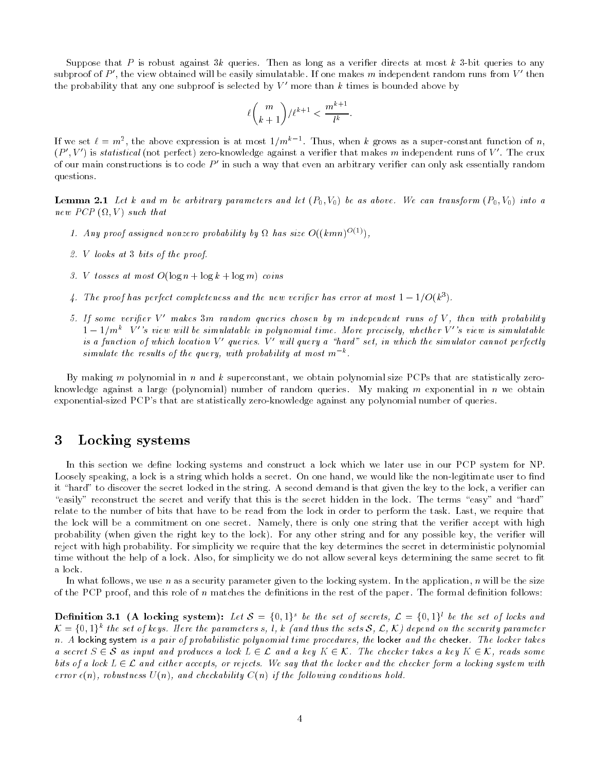Suppose that P is robust against  $3k$  queries. Then as long as a verifier directs at most k 3-bit queries to any subproof of  $P$  , the view obtained will be easily simulatable. If one makes  $m$  independent random runs from  $V$  -then the probability that any one subproof is selected by  $V$  -more than  $\kappa$  times is bounded above by  $\blacksquare$ 

$$
\ell\binom{m}{k+1}/\ell^{k+1} < \frac{m^{k+1}}{l^k}.
$$

If we set  $\ell = m^*$ , the above expression is at most  $1/m^*$  . Thus, when k grows as a super-constant function of  $n$ ,  $(P_+ , V_-)$  is statistical (not perfect) zero-knowledge against a verifier that makes  $m$  independent runs of  $V_-$  . The crux of our main constructions is to code P -in such a way that even an arbitrary veriller can only ask essentially random questions

 $\mathcal{L}$  and arbitrary parameters and let  $\mathcal{L}$  be as above We can transform  $\mathcal{L}$ new PCP is the property of the property of the property of the property of the property of the property of the

- 1. Any proof assigned nonzero probability by  $\Omega$  has size  $O((\kappa mn)^{2(\gamma)})$
- 2.  $V$  looks at 3 bits of the proof.
- v to sesses at most officially in a log in log with the coins
- 4. The proof has perfect completeness and the new verifier has error at most  $1-1/{\rm O}(k^*)$ .
- I. II some veriper v makes 51n random queries chosen by in independent runs of v , then with probability -- $1-1/m^+$  V -s view will be simulatable in polynomial time. More precisely, whether V -s view is simulatable  $\pm$ is a function of which location  $V$  -queries.  $V$  -will query a -hard -set, in which the simulator cannot perfectly simulate the results of the query, with probability at most  $m \in \mathbb{R}$ .

By making m polynomial in n and k superconstant, we obtain polynomial size PCPs that are statistically zeroknowledge against a large polynomial- number of random queries My making m exponential in n we obtain exponential-sized PCP's that are statistically zero-knowledge against any polynomial number of queries.

### -Locking systems

In this section we define locking systems and construct a lock which we later use in our PCP system for NP. Loosely speaking, a lock is a string which holds a secret. On one hand, we would like the non-legitimate user to find it "hard" to discover the secret locked in the string. A second demand is that given the key to the lock, a verifier can "easily" reconstruct the secret and verify that this is the secret hidden in the lock. The terms "easy" and "hard" relate to the number of bits that have to be read from the lock in order to perform the task. Last, we require that the lock will be a commitment on one secret. Namely, there is only one string that the verifier accept with high probability when given the right key to the lock-place-mail client and mail possible key the verifical will reject with high probability For simplicity we require that the key determines the secret in deterministic polynomial time without the help of a lock. Also, for simplicity we do not allow several keys determining the same secret to fit a lock.

In what follows, we use n as a security parameter given to the locking system. In the application, n will be the size of the PCP proof, and this role of n matches the definitions in the rest of the paper. The formal definition follows:

**Definition 3.1** (A locking system): Let  $S = \{0,1\}^s$  be the set of secrets,  $\mathcal{L} = \{0,1\}^l$  be the set of locks and  $\mathcal{K}=\{0,1\}^k$  the set of keys. Here the parameters s, l, k (and thus the sets  $\mathcal{S},\ \mathcal{L},\ \mathcal{K}$ ) depend on the security parameter  $n.$  A locking system is a pair of probabilistic polynomial time procedures, the locker and the checker. The locker takes a secret  $S \in \mathcal{S}$  as input and produces a lock  $L \in \mathcal{L}$  and a key  $K \in \mathcal{K}$ . The checker takes a key  $K \in \mathcal{K}$ , reads some bits of a lock  $L \in \mathcal{L}$  and either accepts, or rejects. We say that the locker and the checker form a locking system with error oficial contents with and checkability with a first lowing conditions holds.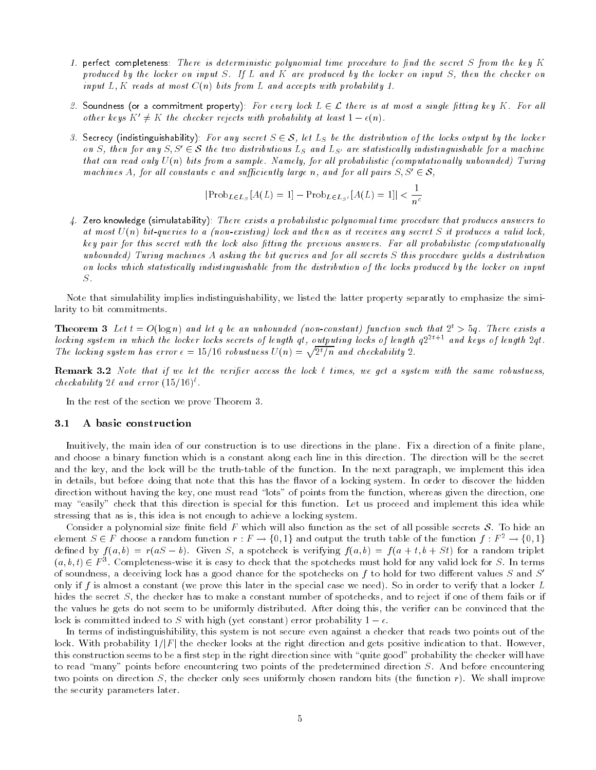- 1. perfect completeness: There is deterministic polynomial time procedure to find the secret S from the key  $K$ produced by the locker on input  $S$ . If  $L$  and  $K$  are produced by the locker on input  $S$ , then the checker on including at most constant  $\mathbf{f}$  reads with probability with probability  $\mathbf{f}$  and accepts with probability  $\mathbf{f}$
- 2. Soundness (or a commitment property): For every lock  $L \in \mathcal{L}$  there is at most a single fitting key K. For all other keys  $K' \neq K$  the checker rejects with probability at least  $1-\epsilon(n)$ .
- 3. Secrecy (indistinguishability): For any secret  $S \in \mathcal{S}$ , let  $L_S$  be the distribution of the locks output by the locker on S, then for any  $S, S' \in \mathcal{S}$  the two distributions  $L_S$  and  $L_{S'}$  are statistically indistinguishable for a machine that can read only U n- bits from a sample Namely for al l probabilistic -computational ly unbounded Turing machines A, for all constants c and sufficiently large n, and for all pairs  $S, S' \in \mathcal{S}$ ,

$$
|\text{Prob}_{L\in L_S}[A(L) = 1] - \text{Prob}_{L\in L_{S'}}[A(L) = 1]| < \frac{1}{n^c}
$$

4. Let o knowledge (Simulatability). There exists a probabilistic polynomial time procedure that produces answers to at most U no, to a gatitive to a point tantoing, went and most arrives any secret M it produces a valid lock a key pair for this secret with the lock also tting the previous answers Far al l probabilistic -computational ly unbounded) Turing machines A asking the bit queries and for all secrets S this procedure yields a distribution on locks which statistically indistinguishable from the distribution of the locks produced by the locker on input  $S$ .

Note that simulability implies indistinguishability we listed the latter property separatly to emphasize the simi larity to bit commitments

**Theorem 3** Let  $t = O(\log n)$  and let q be an unbounded (non-constant) function such that  $\Delta t > 0q$ . There exists a locking system in which the locker locks secrets of length qt, outputing locks of length  $q2^{2t+1}$  and keys of length  $2qt$ . The locking system has error  $\epsilon = 15/16$  robustness  $U(n) = \sqrt{2^t/n}$  and checkability 2.

Remark Note that if we let the verier access the lock - times we get a system with the same robustness checkability  $2\ell$  and error  $(10/10)^{\frac{1}{2}}$ .

In the rest of the section we prove Theorem 3.

## 3.1 A basic construction

Inuitively, the main idea of our construction is to use directions in the plane. Fix a direction of a finite plane, and choose a binary function which is a constant along each line in this direction The direction will be the secret and the key, and the lock will be the truth-table of the function. In the next paragraph, we implement this idea in details, but before doing that note that this has the flavor of a locking system. In order to discover the hidden direction without having the key, one must read "lots" of points from the function, whereas given the direction, one may "easily" check that this direction is special for this function. Let us proceed and implement this idea while stressing that as is, this idea is not enough to achieve a locking system.

Consider a polynomial size finite field F which will also function as the set of all possible secrets  $\mathcal S$ . To hide an element  $S \in F$  choose a random function  $r : F \to \{0,1\}$  and output the truth table of the function  $f : F^2 \to \{0,1\}$  $\alpha$  and  $\alpha$  by  $f(a',b) = f(a \alpha - b)$ . Onven  $\beta$ , a spotcheck is verifying  $f(a',b) = f(a \pm b, b \pm b)$  for a random triplet  $(a, b, t) \in F^{\circ}$ . Completeness-wise it is easy to check that the spotchecks must hold for any valid lock for S. In terms of soundness, a deceiving lock has a good chance for the spotchecks on f to hold for two different values S and  $S'$ only if f is almost a constant we prove this later in the special case we need- So in order to verify that a locker L hides the secret  $S$ , the checker has to make a constant number of spotchecks, and to reject if one of them fails or if the values he gets do not seem to be uniformly distributed. After doing this, the verifier can be convinced that the fock is committed indeed to  $S$  with high (yet constant) error probability  $r = e$ .

In terms of indistinguishibility this system is not secure even against a checker that reads two points out of the lock. With probability  $1/|F|$  the checker looks at the right direction and gets positive indication to that. However, this construction seems to be a first step in the right direction since with "quite good" probability the checker will have to read "many" points before encountering two points of the predetermined direction S. And before encountering two points on direction States checker only sees uniformly chosen random the function  $\eta$  and function random bi the security parameters later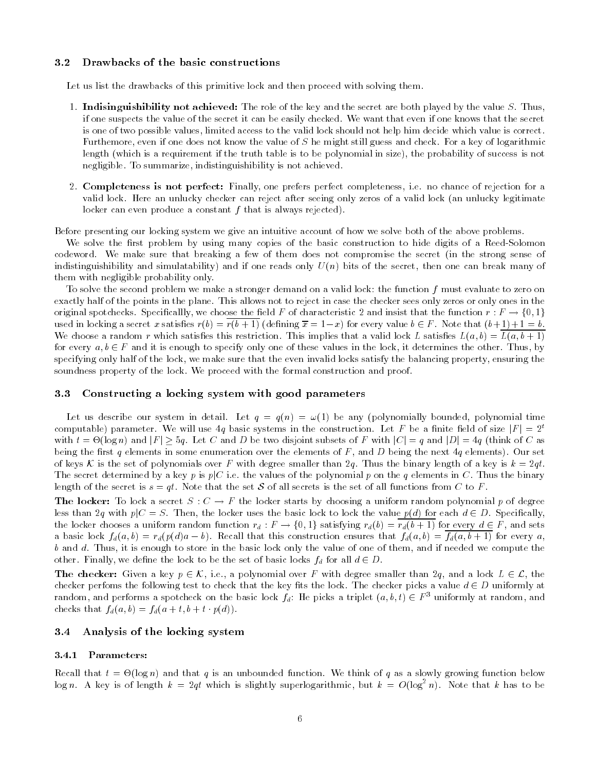#### $3.2$ Drawbacks of the basic constructions

Let us list the drawbacks of this primitive lock and then proceed with solving them.

- 1. Indisinguishibility not achieved: The role of the key and the secret are both played by the value  $S$ . Thus, if one suspects the value of the secret it can be easily checked We want that even if one knows that the secret is one of two possible values limited access to the valid lock should not help him decide which value is correct Furthemore, even if one does not know the value of  $S$  he might still guess and check. For a key of logarithmic length which is a requirement if the truth table is to be polynomial in size- the probability of success is not negligible. To summarize, indistinguishibility is not achieved.
- 2. Completeness is not perfect: Finally, one prefers perfect completeness, i.e. no chance of rejection for a valid lock. Here an unlucky checker can reject after seeing only zeros of a valid lock (an unlucky legitimate locker can even produce a constant f that is always rejected-

Before presenting our locking system we give an intuitive account of how we solve both of the above problems

We solve the first problem by using many copies of the basic construction to hide digits of a Reed-Solomon codeword We make sure that breaking a few of them does not compromise the secret in the strong sense of indistinguishi and simulatability-then one reads on reads on the secret then one can break many of the secret th them with negligible probability only

To solve the second problem we make a stronger demand on a valid lock: the function  $f$  must evaluate to zero on exactly half of the points in the plane. This allows not to reject in case the checker sees only zeros or only ones in the original spotchecks. Specificallly, we choose the field F of characteristic 2 and insist that the function  $r : F \to \{0,1\}$ used in locking a secret x satisfies  $r(b) = r(b+1)$  (defining  $\overline{x} = 1-x$ ) for every value  $b \in F$ . Note that  $(b+1)+1 = b$ . We choose a random r which satisfies this restriction This implies that a valid local local local local local local local local local local local local local local local local local local local local local local local loc for every  $a, b \in F$  and it is enough to specify only one of these values in the lock, it determines the other. Thus, by specifying only half of the lock we make sure that the even invalid locks satisfy the balancing property ensuring the soundness property of the lock. We proceed with the formal construction and proof.

# Constructing a locking system with good parameters

all as altered the system in details also  $\mathfrak{g}_1 \cup \mathfrak{g}_2 \cup \mathfrak{g}_3$  is any polynomial times of  $\mathfrak{g}_1$  and  $\mathfrak{g}_2$ computable) parameter. We will use 4q basic systems in the construction. Let F be a finite field of size  $|F| = 2^t$ with  $t = \Theta(\log n)$  and  $|F| \ge 5q$ . Let C and D be two disjoint subsets of F with  $|C| = q$  and  $|D| = 4q$  (think of C as being the rst q elements in some enumeration over the elements of F and D being the next q elements- Our set of keys K is the set of polynomials over F with degree smaller than 2q. Thus the binary length of a key is  $k = 2qt$ The secret determined by a key p is  $p|C$  i.e. the values of the polynomial p on the q elements in C. Thus the binary length of the secret is  $s = qt$ . Note that the set S of all secrets is the set of all functions from C to F.

**The locker:** To lock a secret  $S: C \to F$  the locker starts by choosing a uniform random polynomial p of degree less than 2q with  $p|C = S$ . Then, the locker uses the basic lock to lock the value  $p(d)$  for each  $d \in D$ . Specifically, the locker chooses a uniform random function  $r_d : F \to \{0,1\}$  satisfying  $r_d(b) = r_d(b+1)$  for every  $d \in F$ , and sets a basic lock  $f_d(a, v) = r_d(p(u)u - v)$ . Itecall that this construction ensures that  $f_d(a, v) = f_d(a, v + 1)$  for every  $a,$ b and d. Thus, it is enough to store in the basic lock only the value of one of them, and if needed we compute the other. Finally, we define the lock to be the set of basic locks  $f_d$  for all  $d \in D$ .

**The checker:** Given a key  $p \in \mathcal{K}$ , i.e., a polynomial over F with degree smaller than  $2q$ , and a lock  $L \in \mathcal{L}$ , the checker perfoms the following test to check that the key fits the lock. The checker picks a value  $d \in D$  uniformly at random, and performs a spotcheck on the basic lock  $f_d$ : He picks a triplet  $(a, b, t) \in F^{\circ}$  uniformly at random, and checks that  $f_d(a, b) = f_d(a + b, b + b, p(a))$ .

# 3.4 Analysis of the locking system

# 3.4.1 Parameters:

Recall that the subset of  $\alpha$  is an unbounded function we think of  $\alpha$  as a slowly growing function below the local distribution of  $\alpha$ log n. A key is of length  $k = 2qt$  which is slightly superlogarithmic, but  $k = O(\log^2 n)$ . Note that k has to be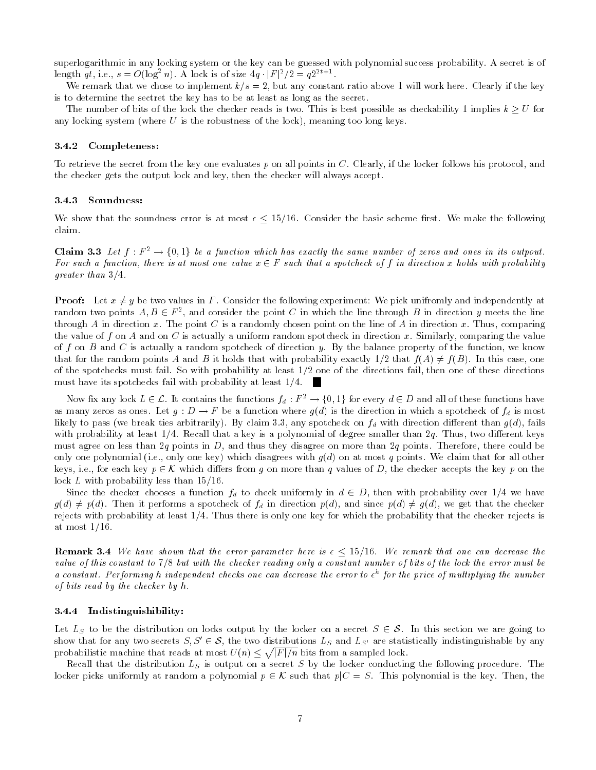superlogarithmic in any locking system or the key can be guessed with polynomial success probability A secret is of length qt, i.e.,  $s = O(\log^2 n)$ . A lock is of size  $4q \cdot |F|^2/2 = q2^{2t+1}$ .

We remark that we chose to implement  $k/s = 2$ , but any constant ratio above 1 will work here. Clearly if the key is to determine the sectret the key has to be at least as long as the secret

The number of bits of the lock the checker reads is two. This is best possible as checkability 1 implies  $k \geq U$  for any locking system where U is the robustness of the lock- meaning too long keys

### 3.4.2 Completeness:

To retrieve the secret from the key one evaluates p on all points in C. Clearly, if the locker follows his protocol, and the checker gets the output lock and key, then the checker will always accept.

## 3.4.3 Soundness:

We show that the soundness error is at most  $\epsilon \leq 15/16$ . Consider the basic scheme first. We make the following claim

**Claim 3.3** Let  $f : F^2 \to \{0,1\}$  be a function which has exactly the same number of zeros and ones in its outpout. For such a function, there is at most one value  $x \in F$  such that a spotcheck of f in direction x holds with probability greater than the control of the second service of the service of the service of the service of the service of

**Proof:** Let  $x \neq y$  be two values in F. Consider the following experiment: We pick unifromly and independently at random two points  $A, B \in F^2$ , and consider the point  $C$  in which the line through  $B$  in direction  $y$  meets the line through A in direction x. The point C is a randomly chosen point on the line of A in direction x. Thus, comparing the value of f on A and on C is actually a uniform random spotcheck in direction x. Similarly, comparing the value of f on B and C is actually a random spotcheck of direction y. By the balance property of the function, we know that for the random points A and B it holds that with probability exactly  $1/2$  that  $f(A) \neq f(B)$ . In this case, one of the spotchecks must fail. So with probability at least  $1/2$  one of the directions fail, then one of these directions must have its spotchecks fail with probability at least  $1/4$ .

Now fix any lock  $L \in \mathcal{L}$ . It contains the functions  $f_d : F^2 \to \{0,1\}$  for every  $d \in D$  and all of these functions have as many zeros as ones. Let  $g:D\to F$  be a function where  $g(a)$  is the direction in which a spotcheck of  $f_d$  is most likely to passe victorily-ties arbitrarily-parameter and with diplomatic construction and the common gaing operator with probability at least  $1/4$ . Recall that a key is a polynomial of degree smaller than  $2q$ . Thus, two different keys must agree on less than 2q points in D, and thus they disagree on more than 2q points. Therefore, there could be only one polynomial ie only one nelly which disagrees with give the most presented that for all others with all keys, i.e., for each key  $p \in K$  which differs from g on more than q values of D, the checker accepts the key p on the lock  $L$  with probability less than  $15/16$ .

Since the checker chooses a function  $f_d$  to check uniformly in  $d \in D$ , then with probability over  $1/4$  we have  $g(d) \neq p(d)$ . Then it performs a spotcheck of  $f_d$  in direction  $p(d)$ , and since  $p(d) \neq g(d)$ , we get that the checker rejects with probability at least 1/4. Thus there is only one key for which the probability that the checker rejects is at most  $1/16$ .

**Remark 3.4** We have shown that the error parameter here is  $\epsilon < 15/16$ . We remark that one can decrease the value of this constant to but with the checker reading only a constant number of bits of the lock the error must be a constant. Performing n inaepenaent checks one can aecrease the error to  $\epsilon^-$  for the price of multiplying the number of bits read by the checker by  $h$ .

### 3.4.4 Indistinguishibility:

Let  $L_S$  to be the distribution on locks output by the locker on a secret  $S \in \mathcal{S}$ . In this section we are going to show that for any two secrets  $S, S' \in \mathcal{S}$ , the two distributions  $L_S$  and  $L_{S'}$  are statistically indistinguishable by any probabilistic machine that reads at most  $U(n) \leq \sqrt{|F|/n}$  bits from a sampled lock.

Recall that the distribution  $L_S$  is output on a secret S by the locker conducting the following procedure. The locker picks uniformly at random a polynomial  $p \in K$  such that  $p|C = S$ . This polynomial is the key. Then, the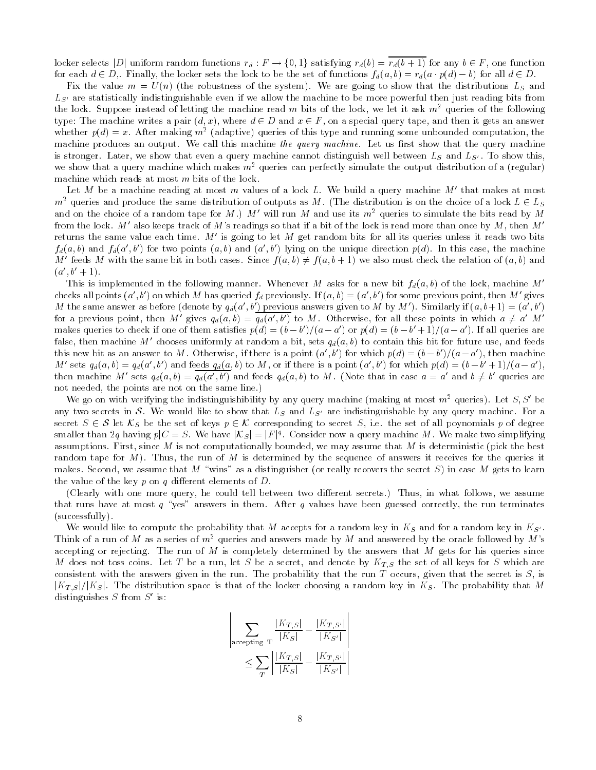locker selects |D| uniform random functions  $r_d : F \to \{0, 1\}$  satisfying  $r_d(b) = r_d(b+1)$  for any  $b \in F$ , one function for each  $d\in D$ ,. Finally, the locker sets the lock to be the set of functions  $f_d(a,b)=r_d(a\cdot p(d)-b)$  for all  $d\in D$ .

Fix the value m U n- the robustness of the system- We are going to show that the distributions LS and  $L_{S'}$  are statistically indistinguishable even if we allow the machine to be more powerful then just reading bits from the lock. Suppose instead of letting the machine read m bits of the lock, we let it ask  $m^2$  queries of the following type: The machine writes a pair  $(d, x)$ , where  $d \in D$  and  $x \in F$ , on a special query tape, and then it gets an answer whether  $p(a) = x$ . After making  $m^2$  (adaptive) queries of this type and running some unbounded computation, the machine produces an output. We call this machine the query machine. Let us first show that the query machine is stronger. Later, we show that even a query machine cannot distinguish well between  $L_s$  and  $L_{S'}$ . To show this we show that a query machine which makes  $m^2$  queries can perfectly simulate the output distribution of a (regular) machine which reads at most  $m$  bits of the lock.

Let  $M$  be a machine reading at most  $m$  values of a lock  $L$ . We build a query machine  $M$  -that makes at most  $\blacksquare$  $m^2$  queries and produce the same distribution of outputs as M. (The distribution is on the choice of a lock  $L \in L_S$ and on the choice of a random tape for  $M$  ,  $M$  will run  $M$  and use its  $m^\ast$  queries to simulate the bits read by  $M$ from the lock. M--also keeps track of M-s readings so that if a bit of the lock is read more than once by M , then Mreturns the same value each time. M- is going to let M-get random bits for all its queries unless it reads two bits  $f_d(a, b)$  and  $f_d(a, b)$  for two points  $(a, b)$  and  $(a, b)$  lying on the unique direction  $p(a)$ . In this case, the machine M' feeds M with the same bit in both cases. Since  $f(a, b) \neq f(a, b+1)$  we also must check the relation of  $(a, b)$  and  $(a_1, b_2 + 1)$ .

This is implemented in the following manner. Whenever M asks for a new bit  $f_d(a, b)$  of the lock, machine Mchecks all points (a-, b-) on which M-has queried  $f_d$  previously. If  $(a, b) = (a_-, b_-)$  for some previous point, then M- gives  $M$  the same answer as before (denote by  $q_d(a_-,b_-)$  previous answers given to  $M$  by  $M$  ). Similarly if  $(a,b+1)=(a_-,b_-)$ for a previous point, then M' gives  $q_d(a, b) = q_d(a', b')$  to M. Otherwise, for all these points in which  $a \neq a'$  M' makes queries to check if one of them satisfies  $p(a) = (b - b) / (a - a)$  or  $p(a) = (b - b + 1) / (a - a)$ . If all queries are raise, then machine  $m$  -chooses uniformly at random a bit, sets  $q_d(a, \theta)$  to contain this bit for future use, and feeds this new bit as an answer to  $M$  . Otherwise, if there is a point  $\{a_-, b_-\}$  for which  $p(a) = (b - b_-)/(a - a_-)$ , then machine  $M$ -sets  $q_d(a, b) = q_d(a, b)$  and feeds  $q_d(a, b)$  to M, or if there is a point  $(a, b)$  for which  $p(a) = (b - b + 1)/(a - a)$ , then machine M' sets  $q_d(a, b) = q_d(a', b')$  and feeds  $q_d(a, b)$  to M. (Note that in case  $a = a'$  and  $b \neq b'$  queries are not needed, the points are not on the same line.)

We go on with verifying the indistinguishibility by any query machine (making at most  $m^2$  queries). Let  $S, S$  be any two secrets in S. We would like to show that  $L_S$  and  $L_{S'}$  are indistinguishable by any query machine. For a secret  $S \in \mathcal{S}$  let  $\mathcal{K}_S$  be the set of keys  $p \in \mathcal{K}$  corresponding to secret S, i.e. the set of all poynomials p of degree smaller than 2q having  $p|C=S$ . We have  $|{\cal K}_S|=|F|^q$ . Consider now a query machine M . We make two simplifying assumptions. First, since M is not computationally bounded, we may assume that M is deterministic (pick the best random tape for M- Thus the run of M is determined by the sequence of answers it receives for the queries it makes Second we assume that M wins as a distinguisher or really recovers the secret S- in case M gets to learn the value of the key  $p$  on  $q$  different elements of  $D$ .

Clearly with one more query he could tell between two di!erent secrets- Thus in what follows we assume that runs have at most  $q$  "yes" answers in them. After  $q$  values have been guessed correctly, the run terminates (successfully)

We would like to compute the probability that M accepts for a random key in  $K_S$  and for a random key in  $K_{S'}$ . Think of a run of M as a series of  $m^2$  queries and answers made by M and answered by the oracle followed by M's accepting or rejecting. The run of M is completely determined by the answers that M gets for his queries since M does not toss coins. Let T be a run, let S be a secret, and denote by  $K_{T,S}$  the set of all keys for S which are consistent with the answers given in the run. The probability that the run  $T$  occurs, given that the secret is  $S$ , is  $|K_{T,S}|/|K_{S}|$ . The distribution space is that of the locker choosing a random key in  $K_{S}$ . The probability that M alstinguishes 5 from 5 - is: -

-

$$
\sum_{\text{accepting } T} \frac{|K_{T,S}|}{|K_S|} - \frac{|K_{T,S'}|}{|K_{S'}|} \\
\leq \sum_{T} \left| \frac{|K_{T,S}|}{|K_S|} - \frac{|K_{T,S'}|}{|K_{S'}|} \right|
$$

------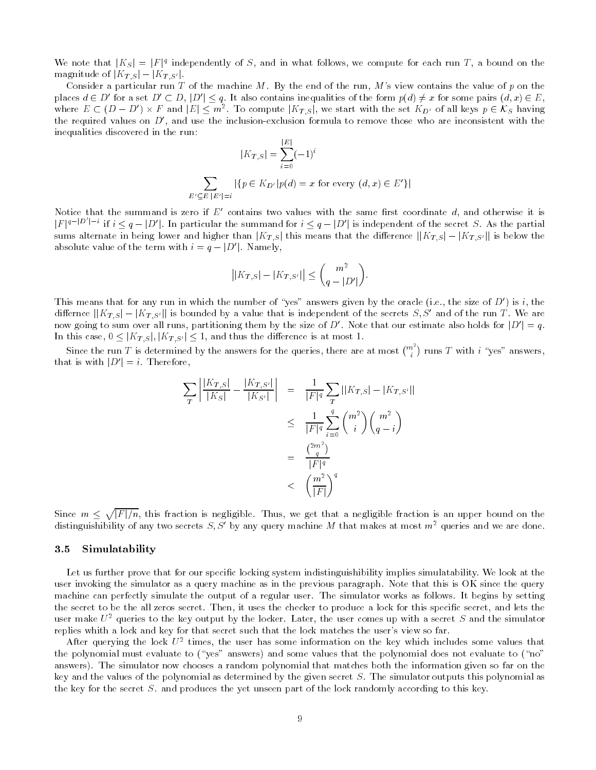We note that  $|K_S| = |F|^q$  independently of S, and in what follows, we compute for each run T, a bound on the magnitude of  $|K_{T, S}| - |K_{T, S'}|$ .

Consider a particular run T of the machine M. By the end of the run, M's view contains the value of p on the places  $d \in D'$  for a set  $D' \subset D$ ,  $|D'| \leq q$ . It also contains inequalities of the form  $p(d) \neq x$  for some pairs  $(d, x) \in E$ , where  $E \subset (D - D') \times F$  and  $|E| \leq m^2$ . To compute  $|K_{T, S}|$ , we start with the set  $K_{D'}$  of all keys  $p \in \mathcal{K}_S$  having the required values on  $D$  , and use the inclusion-exclusion formula to remove those who are inconsistent with the  $\blacksquare$ inequalities discovered in the run  $\overline{1}$  m

$$
|K_{T,S}| = \sum_{i=0}^{|E|} (-1)^i
$$
  

$$
\sum_{E' \subseteq E} |\{p \in K_{D'}| p(d) = x \text{ for every } (d,x) \in E'\}|
$$

Notice that the summand is zero if  $E$  -contains two values with the same first coordinate  $a$ , and otherwise it is  $|F|^{q-|D'|-i}$  if  $i \leq q-|D'|$ . In particular the summand for  $i \leq q-|D'|$  is independent of the secret S. As the partial sums alternate in being lower and higher than  $|K_{T,S}|$  this means that the difference  $||K_{T,S}|-|K_{T,S'}||$  is below the absolute value of the term with  $i = q - |D'|$ . Namely,

$$
\left| |K_{T,S}|-|K_{T,S'}| \right| \leq {m^2 \choose q-|D'|}.
$$

This means that for any run in which the number of yes answers given by the oracle (i.e., the size of D-) is i, the differnce  $||K_{T,S}|-|K_{T,S'}||$  is bounded by a value that is independent of the secrets  $S, S'$  and of the run T. We are now going to sum over all runs, partitioning them by the size of D'. Note that our estimate also holds for  $|D'|=q$ . In this case,  $0 \leq |K_{T, S}|, |K_{T, S'}| \leq 1$ , and thus the difference is at most 1.

Since the run T is determined by the answers for the queries, there are at most  $\binom{m^2}{i}$  runs T with  $i$  "yes" answers, that is with  $|D'| = i$ . Therefore,

$$
\sum_{T} \left| \frac{|K_{T,S}|}{|K_S|} - \frac{|K_{T,S'}|}{|K_{S'}|} \right| = \frac{1}{|F|^q} \sum_{T} ||K_{T,S}| - |K_{T,S'}||
$$
  

$$
\leq \frac{1}{|F|^q} \sum_{i=0}^{q} {m^2 \choose i} {m^2 \choose q-i}
$$
  

$$
= \frac{{2m^2 \choose q}}{|F|^q}
$$
  

$$
< \left(\frac{m^2}{|F|}\right)^q
$$

Since  $m \leq \sqrt{|F|/n}$ , this fraction is negligible. Thus, we get that a negligible fraction is an upper bound on the distinguishibility of any two secrets  $S, S$  by any query machine  $M$  that makes at most  $m^{\omega}$  queries and we are done.

## 3.5 Simulatability

Let us further prove that for our specific locking system indistinguishibility implies simulatability. We look at the user invoking the simulator as a query machine as in the previous paragraph. Note that this is OK since the query machine can perfectly simulate the output of a regular user. The simulator works as follows. It begins by setting the secret to be the all zeros secret. Then, it uses the checker to produce a lock for this specific secret, and lets the user make  $U^2$  queries to the key output by the locker. Later, the user comes up with a secret S and the simulator replies whith a lock and key for that secret such that the lock matches the user's view so far.

After querying the lock  $U^\pm$  times, the user has some information on the key which includes some values that the polynomial must evalue to your answers- and some values that the polynomial does not evalues to your answers-produced the simulation of the simulation of the information that matches both the information on the i key and the values of the polynomial as determined by the given secret  $S$ . The simulator outputs this polynomial as the key for the secret  $S$ . and produces the yet unseen part of the lock randomly according to this key.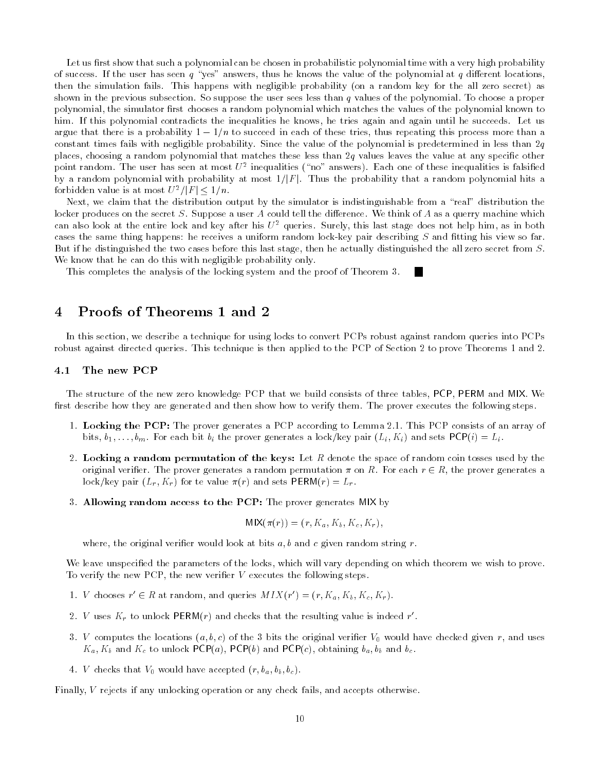Let us first show that such a polynomial can be chosen in probabilistic polynomial time with a very high probability of success. If the user has seen q "yes" answers, thus he knows the value of the polynomial at q different locations, then the simulation fails This happens with negligible probability on a random key for the all zero secret- as shown in the previous subsection. So suppose the user sees less than  $q$  values of the polynomial. To choose a proper polynomial, the simulator first chooses a random polynomial which matches the values of the polynomial known to him. If this polynomial contradicts the inequalities he knows, he tries again and again until he succeeds. Let us argue that there is a probability  $1 - 1/n$  to succeed in each of these tries, thus repeating this process more than a constant times fails with negligible probability. Since the value of the polynomial is predetermined in less than  $2q$ places, choosing a random polynomial that matches these less than  $2q$  values leaves the value at any specific other point random. The user has seen at most  $U^\ast$  inequalities ( no -answers). Each one of these inequalities is faisined by a random polynomial with probability at most  $1/|F|$ . Thus the probability that a random polynomial hits a forbidden value is at most  $U^2/|F| \leq 1/n$ .

Next, we claim that the distribution output by the simulator is indistinguishable from a "real" distribution the locker produces on the secret S. Suppose a user A could tell the difference. We think of A as a querry machine which can also look at the entire lock and key after his  $U^2$  queries. Surely, this last stage does not help him, as in both cases the same thing happens: he receives a uniform random lock-key pair describing  $S$  and fitting his view so far But if he distinguished the two cases before this last stage, then he actually distinguished the all zero secret from  $S$ . We know that he can do this with negligible probability only.

This completes the analysis of the locking system and the proof of Theorem 3.

### Proofs of Theorems 1 and 2  $\overline{4}$

In this section, we describe a technique for using locks to convert PCPs robust against random queries into PCPs robust against directed queries. This technique is then applied to the PCP of Section 2 to prove Theorems 1 and 2

#### The new PCP  $4.1$

The structure of the new zero knowledge PCP that we build consists of three tables, PCP, PERM and MIX. We first describe how they are generated and then show how to verify them. The prover executes the following steps.

- 1. Locking the PCP: The prover generates a PCP according to Lemma 2.1. This PCP consists of an array of  $\mathbf{b}$  bits  $\mathbf{b}$   $\mathbf{b}$   $\mathbf{b}$  and  $\mathbf{b}$  and  $\mathbf{c}$  and  $\mathbf{c}$  and  $\mathbf{c}$   $\mathbf{c}$  and  $\mathbf{c}$  and  $\mathbf{c}$   $\mathbf{c}$   $\mathbf{c}$   $\mathbf{c}$   $\mathbf{c}$   $\mathbf{c}$   $\mathbf{c}$   $\mathbf{c}$   $\mathbf{c}$   $\mathbf{c}$   $\mathbf{c}$   $\math$
- 2. Locking a random permutation of the keys: Let  $R$  denote the space of random coin tosses used by the original verifier. The prover generates a random permutation  $\pi$  on R. For each  $r \in R$ , the prover generates a  $\mathcal{L}$  . For the value results  $\mathcal{L}$  and sets  $\mathcal{L}$  -  $\mathcal{L}$
- 3. Allowing random access to the PCP: The prover generates MIX by

$$
MIX(\pi(r)) = (r, K_a, K_b, K_c, K_r),
$$

where, the original verifier would look at bits  $a, b$  and c given random string r.

We leave unspecified the parameters of the locks, which will vary depending on which theorem we wish to prove. To verify the new PCP, the new verifier  $V$  executes the following steps.

- 1. V chooses  $r' \in R$  at random, and queries  $MIX(r') = (r, K_a, K_b, K_c, K_r)$ .
- $\mathcal{Z}$ . V uses  $\mathbf{A}_r$  to unlock PERM(*r*) and checks that the resulting value is indeed r.
- 3. V computes the locations  $(a, b, c)$  of the 3 bits the original verifier  $V_0$  would have checked given r, and uses  $\mathcal{L}_{\mathcal{U}}$  and  $\mathcal{L}_{\mathcal{U}}$  for and PCPa-BCPC-BCP and  $\mathcal{L}_{\mathcal{U}}$  and  $\mathcal{L}_{\mathcal{U}}$  and  $\mathcal{L}_{\mathcal{U}}$  and  $\mathcal{L}_{\mathcal{U}}$
- $\mathbf v$  . The checks that  $\mathbf v$  and  $\mathbf v$  would have accepted r background  $\mathbf v$

Finally, V rejects if any unlocking operation or any check fails, and accepts otherwise.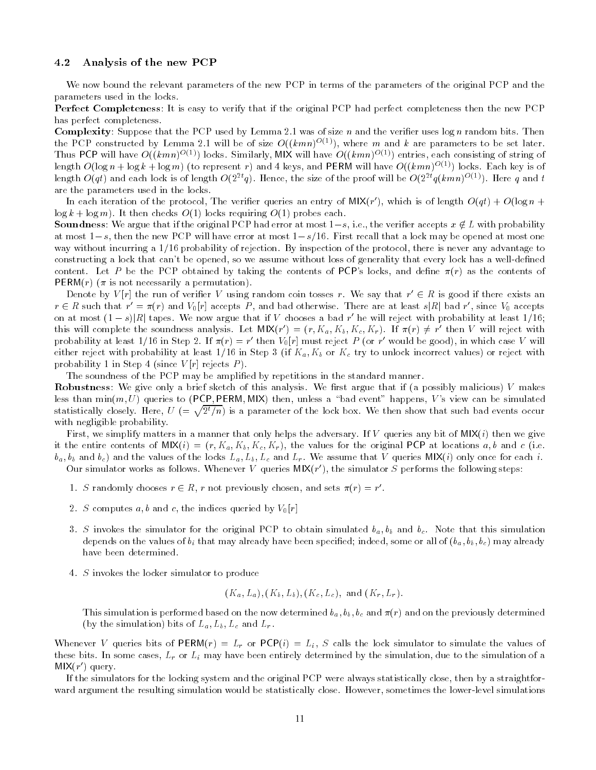#### 4.2 Analysis of the new PCP

We now bound the relevant parameters of the new PCP in terms of the parameters of the original PCP and the parameters used in the locks

Perfect Completeness It is easy to verify that if the original PCP had perfect completeness then the new PCP has perfect completeness

**Complexity**: Suppose that the PCP used by Lemma 2.1 was of size n and the verifier uses  $\log n$  random bits. Then the PCP constructed by Lemma 2.1 will be of size  $O((\kappa mn)^{-(\gamma)})$ , where m and k are parameters to be set fater. Thus PCP will have  $O((\kappa mn)^{-(1)})$  locks. Similarly, with will have  $O((\kappa mn)^{-(1)})$  entries, each consisting of string of length  $O(\log n + \log \kappa + \log m)$  (to represent r) and 4 keys, and PERM will have  $O((\kappa mn)^{-(\gamma)})$  locks. Each key is of length  $O(q\iota)$  and each lock is of length  $O\left(2^{z\cdot}q\right)$ . Hence, the size of the proof will be  $O\left(2^{z\cdot}q\left(\kappa mn\right)^{z\cdot z\cdot}\right)$ . Here  $q$  and  $\iota$ are the parameters used in the locks

In each iteration of the protocol, The verifier queries an entry of MIX(r), which is of length  $O(qt) + O(\log n + 1)$ log k log m- It then checks O- locks requiring O- probes each

**Soundness**: We argue that if the original PCP had error at most  $1-s$ , i.e., the verifier accepts  $x \notin L$  with probability at most  $1-s$ , then the new PCP will have error at most  $1-s/16$ . First recall that a lock may be opened at most one way without incurring a  $1/16$  probability of rejection. By inspection of the protocol, there is never any advantage to constructing a lock that can't be opened, so we assume without loss of generality that every lock has a well-defined content Let P be the P obtained by taking the contents of P belocked and dent of  $\mu$  as the contents of  $\mathbf{r}$  permanent is not necessarily a permutation-

Denote by  $V(r)$  the run of verifier V using random coin tosses r. We say that  $r' \in R$  is good if there exists an  $r \in R$  such that  $r' = \pi(r)$  and  $V_0[r]$  accepts P, and bad otherwise. There are at least s|R| bad r', since  $V_0$  accepts on at most  $(1-s)|R|$  tapes. We now argue that if V chooses a bad r' he will reject with probability at least  $1/16$ ; this will complete the soundness analysis. Let  $MIX(r') = (r, K_a, K_b, K_c, K_r)$ . If  $\pi(r) \neq r'$  then V will reject with probability at least 1/10 in Step 2. If  $\pi(r) = r$  then  $v_0|r|$  must reject P (or P would be good), in which case V will either reject with probability at least 5, 20 km or p in New York in Step in Allen incorrect values- probabili probability research in Step in Step Probability P - 1

The soundness of the PCP may be amplified by repetitions in the standard manner.

Robustness We give only a brief sketch of this analysis We rst argue that if a possibly malicious- V makes less than minimum a particle of the Permitian Mix-Mix-Mix-Company and the simulated than the simulated of the s statistically closely. Here,  $U = \sqrt{2^t/n}$  is a parameter of the lock box. We then show that such bad events occur with negligible probability.

First we simplify matters in a manner that only helps the adversary If V queries any bit of MIXi- then we give re the characteris of MIXIV-  $\{0, 1, 1, 2, 0\}$  and  $\{1, 2, 1, 1\}$  and the characteristic at an ieduciding which can be and content  $\mathcal{L}_{a}$  ,  $\mathcal{L}_{b}$  and the values of the locks La Lb  $\mathcal{L}_{a}$  and Ly  $\ldots$  constructed  $\ldots$  , question  $\ldots$  ,  $\ldots$  can in Our simulator works as follows whenever v queries  $\mathsf{min}\{r|t\}$ , the simulator  $\beta$  performs the following steps:

- 1. S randomly chooses  $r \in R$ , r not previously chosen, and sets  $\pi(r) = r'$ .
- 2. S computes a, b and c, the indices queried by  $V_0[r]$
- 3. S invokes the simulator for the original PCP to obtain simulated  $b_a, b_b$  and  $b_c$ . Note that this simulation depends on the values of bi that may already have been specied indeed some or all of ba ba ba ba ba ba ba ba b have been determined
- 4. S invokes the locker simulator to produce

$$
(K_a, L_a), (K_b, L_b), (K_c, L_c),
$$
 and  $(K_r, L_r)$ .

This simulation is performed based on the norm determined based based based based based based based based based b by the simulation- bits of La Lb Lc and Lr

 $\mathcal{L}_1$  is the local simulation bits of  $\mathcal{L}_2$  . By  $\mathcal{L}_3$  is the values of  $\mathcal{L}_3$  is the values of  $\mathcal{L}_4$  is the value of  $\mathcal{L}_5$  is the value of  $\mathcal{L}_5$  is the value of  $\mathcal{L}_6$  is the value of  $\mathcal{L$ these bits. In some cases,  $L_r$  or  $L_i$  may have been entirely determined by the simulation, due to the simulation of a  $NIX(T)$  query

If the simulators for the locking system and the original PCP were always statistically close, then by a straightforward argument the resulting simulation would be statistically close. However, sometimes the lower-level simulations